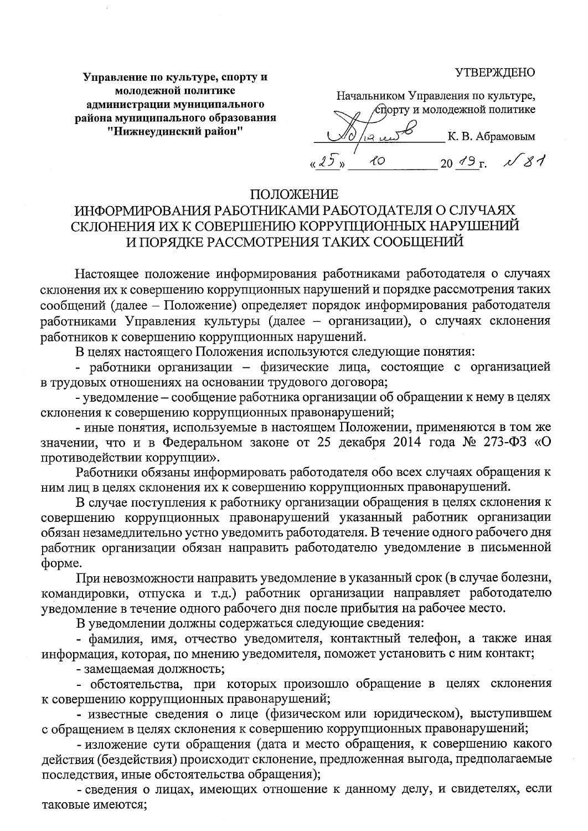**УТВЕРЖДЕНО** 

Управление по культуре, спорту и молодежной политике администрации муниципального района муниципального образования "Нижнеудинский район"

Начальником Управления по культуре, спорту и молодежной политике ء ۾، بشرا К. В. Абрамовым  $2049$  r.  $\sqrt{81}$  $\mathcal{X}$ 

## ПОЛОЖЕНИЕ

## ИНФОРМИРОВАНИЯ РАБОТНИКАМИ РАБОТОДАТЕЛЯ О СЛУЧАЯХ СКЛОНЕНИЯ ИХ К СОВЕРШЕНИЮ КОРРУПЦИОННЫХ НАРУШЕНИЙ И ПОРЯДКЕ РАССМОТРЕНИЯ ТАКИХ СООБЩЕНИЙ

Настоящее положение информирования работниками работодателя о случаях склонения их к совершению коррупционных нарушений и порядке рассмотрения таких сообщений (далее - Положение) определяет порядок информирования работодателя работниками Управления культуры (далее - организации), о случаях склонения работников к совершению коррупционных нарушений.

В целях настоящего Положения используются следующие понятия:

- работники организации - физические лица, состоящие с организацией в трудовых отношениях на основании трудового договора;

- уведомление - сообщение работника организации об обращении к нему в целях склонения к совершению коррупционных правонарушений;

- иные понятия, используемые в настоящем Положении, применяются в том же значении, что и в Федеральном законе от 25 декабря 2014 года № 273-ФЗ «О противодействии коррупции».

Работники обязаны информировать работодателя обо всех случаях обращения к ним лиц в целях склонения их к совершению коррупционных правонарушений.

В случае поступления к работнику организации обращения в целях склонения к совершению коррупционных правонарушений указанный работник организации обязан незамедлительно устно уведомить работодателя. В течение одного рабочего дня работник организации обязан направить работодателю уведомление в письменной форме.

При невозможности направить уведомление в указанный срок (в случае болезни, командировки, отпуска и т.д.) работник организации направляет работодателю уведомление в течение одного рабочего дня после прибытия на рабочее место.

В уведомлении должны содержаться следующие сведения:

- фамилия, имя, отчество уведомителя, контактный телефон, а также иная информация, которая, по мнению уведомителя, поможет установить с ним контакт;

- замещаемая должность;

- обстоятельства, при которых произошло обращение в целях склонения к совершению коррупционных правонарушений;

- известные сведения о лице (физическом или юридическом), выступившем с обращением в целях склонения к совершению коррупционных правонарушений;

- изложение сути обращения (дата и место обращения, к совершению какого действия (бездействия) происходит склонение, предложенная выгода, предполагаемые последствия, иные обстоятельства обращения);

- сведения о лицах, имеющих отношение к данному делу, и свидетелях, если таковые имеются;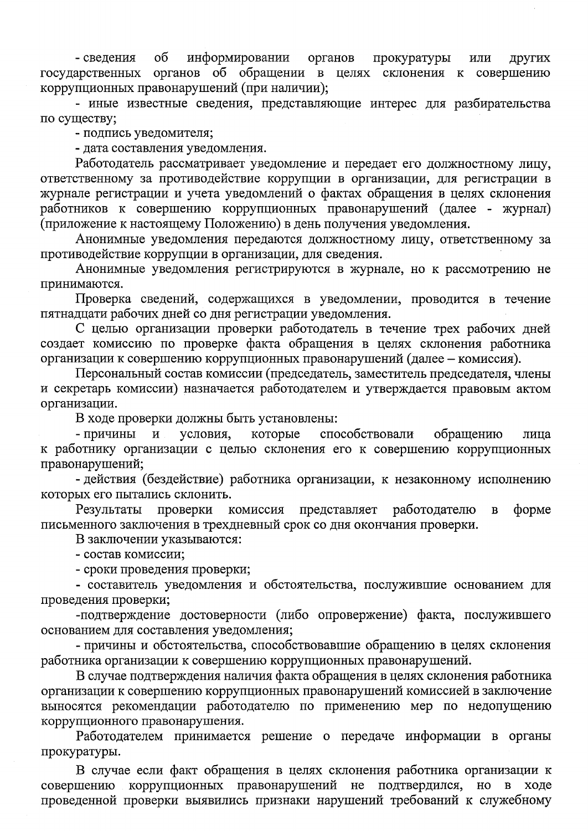$\sigma$ информировании органов прокуратуры - сведения ИЛИ других государственных органов об обращении в целях склонения к совершению коррупционных правонарушений (при наличии);

- иные известные сведения, представляющие интерес для разбирательства по существу;

- подпись уведомителя;

- дата составления уведомления.

Работодатель рассматривает уведомление и передает его должностному лицу, ответственному за противодействие коррупции в организации, для регистрации в журнале регистрации и учета уведомлений о фактах обращения в целях склонения работников к совершению коррупционных правонарушений (далее - журнал) (приложение к настоящему Положению) в день получения уведомления.

Анонимные уведомления передаются должностному лицу, ответственному за противодействие коррупции в организации, для сведения.

Анонимные уведомления регистрируются в журнале, но к рассмотрению не принимаются.

Проверка сведений, содержащихся в уведомлении, проводится в течение пятнадцати рабочих дней со дня регистрации уведомления.

С целью организации проверки работодатель в течение трех рабочих дней создает комиссию по проверке факта обращения в целях склонения работника организации к совершению коррупционных правонарушений (далее - комиссия).

Персональный состав комиссии (председатель, заместитель председателя, члены и секретарь комиссии) назначается работодателем и утверждается правовым актом организации.

В ходе проверки должны быть установлены:

- причины условия, которые способствовали обращению  $\mathbf{M}$ лица к работнику организации с целью склонения его к совершению коррупционных правонарушений;

- действия (бездействие) работника организации, к незаконному исполнению которых его пытались склонить.

Результаты проверки комиссия представляет работодателю форме  $\, {\bf B}$ письменного заключения в трехдневный срок со дня окончания проверки.

В заключении указываются:

- состав комиссии;

- сроки проведения проверки;

- составитель уведомления и обстоятельства, послужившие основанием для проведения проверки;

-подтверждение достоверности (либо опровержение) факта, послужившего основанием для составления уведомления;

- причины и обстоятельства, способствовавшие обращению в целях склонения работника организации к совершению коррупционных правонарушений.

В случае подтверждения наличия факта обращения в целях склонения работника организации к совершению коррупционных правонарушений комиссией в заключение выносятся рекомендации работодателю по применению мер по недопущению коррупционного правонарушения.

Работодателем принимается решение о передаче информации в органы прокуратуры.

В случае если факт обращения в целях склонения работника организации к совершению коррупционных правонарушений не подтвердился, но в ходе проведенной проверки выявились признаки нарушений требований к служебному